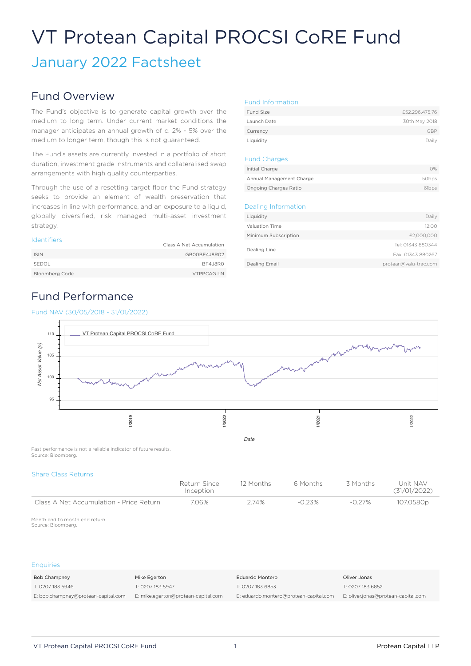# VT Protean Capital PROCSI CoRE Fund

# January 2022 Factsheet

# Fund Overview

The Fund's objective is to generate capital growth over the medium to long term. Under current market conditions the manager anticipates an annual growth of c. 2% - 5% over the medium to longer term, though this is not guaranteed.

The Fund's assets are currently invested in a portfolio of short duration, investment grade instruments and collateralised swap arrangements with high quality counterparties.

Through the use of a resetting target floor the Fund strategy seeks to provide an element of wealth preservation that increases in line with performance, and an exposure to a liquid, globally diversified, risk managed multi-asset investment strategy.

#### Identifiers

|                | Class A Net Accumulation |
|----------------|--------------------------|
| <b>ISIN</b>    | GB00BF4J8R02             |
| SEDOL          | BF4J8RO                  |
| Bloomberg Code | <b>VTPPCAGLN</b>         |

## Fund Performance

#### Fund NAV (30/05/2018 - 31/01/2022)

#### Fund Information

| Fund Size   | £52,296,475,76 |
|-------------|----------------|
| Launch Date | 30th May 2018  |
| Currency    | GBP            |
| Liquidity   | Daily          |

#### Fund Charges

| Initial Charge               | O%.   |
|------------------------------|-------|
| Annual Management Charge     | 50bps |
| <b>Ongoing Charges Ratio</b> | 61bps |

#### Dealing Information

| Liquidity            | Daily                 |
|----------------------|-----------------------|
| Valuation Time       | 12:00                 |
| Minimum Subscription | £2,000,000            |
|                      | Tel: 01343 880344     |
| Dealing Line         | Fax: 01343 880267     |
| Dealing Email        | protean@valu-trac.com |
|                      |                       |



Past performance is not a reliable indicator of future results. Source: Bloomberg.

#### Share Class Returns

|                                         | Return Since<br>Inception | 12 Months | 6 Months | 3 Months  | Unit NAV<br>(31/01/2022) |
|-----------------------------------------|---------------------------|-----------|----------|-----------|--------------------------|
| Class A Net Accumulation - Price Return | 7.06%                     | 2.74%     | -0.23%   | $-0.27\%$ | 107.0580p                |

Month end to month end return.. Source: Bloomberg.

#### **Enquiries**

| Bob Champney                        | Mike Egerton                        | Eduardo Montero                        | Oliver Jonas                        |  |
|-------------------------------------|-------------------------------------|----------------------------------------|-------------------------------------|--|
| T: 0207 183 5946                    | T: 0207 183 5947                    | T: 0207 183 6853                       | T: 0207 183 6852                    |  |
| E: bob.champney@protean-capital.com | E: mike.egerton@protean-capital.com | E: eduardo.montero@protean-capital.com | E: oliver.jonas@protean-capital.com |  |